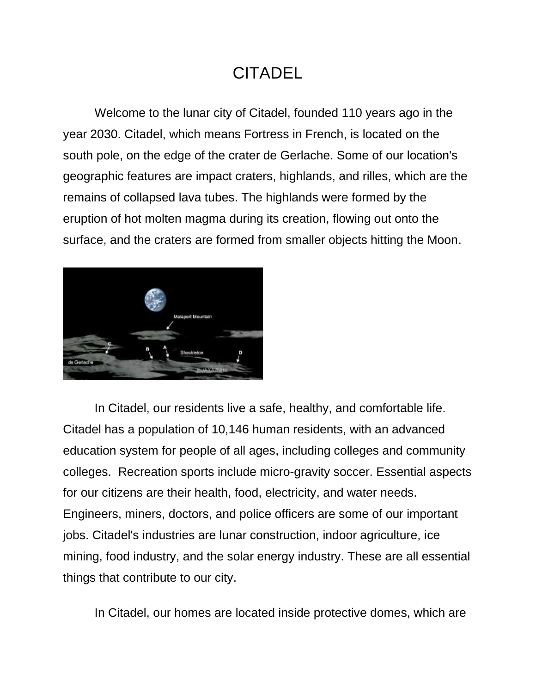### CITADEL

Welcome to the lunar city of Citadel, founded 110 years ago in the year 2030. Citadel, which means Fortress in French, is located on the south pole, on the edge of the crater de Gerlache. Some of our location's geographic features are impact craters, highlands, and rilles, which are the remains of collapsed lava tubes. The highlands were formed by the eruption of hot molten magma during its creation, flowing out onto the surface, and the craters are formed from smaller objects hitting the Moon.



In Citadel, our residents live a safe, healthy, and comfortable life. Citadel has a population of 10,146 human residents, with an advanced education system for people of all ages, including colleges and community colleges. Recreation sports include micro-gravity soccer. Essential aspects for our citizens are their health, food, electricity, and water needs. Engineers, miners, doctors, and police officers are some of our important jobs. Citadel's industries are lunar construction, indoor agriculture, ice mining, food industry, and the solar energy industry. These are all essential things that contribute to our city.

In Citadel, our homes are located inside protective domes, which are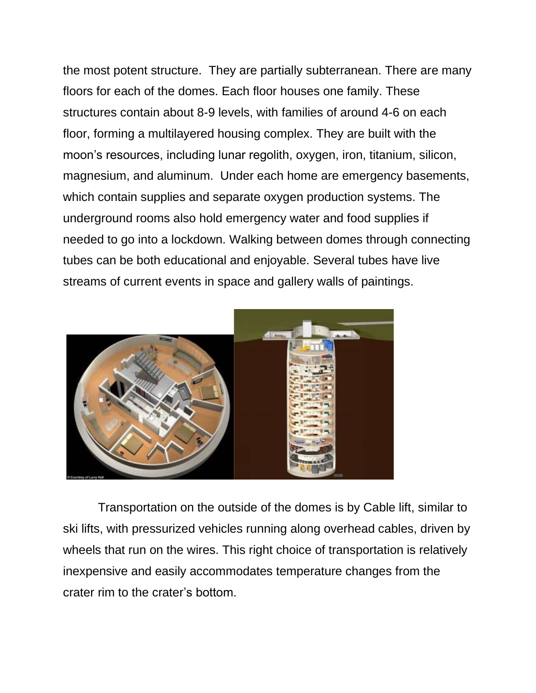the most potent structure. They are partially subterranean. There are many floors for each of the domes. Each floor houses one family. These structures contain about 8-9 levels, with families of around 4-6 on each floor, forming a multilayered housing complex. They are built with the moon's resources, including lunar regolith, oxygen, iron, titanium, silicon, magnesium, and aluminum. Under each home are emergency basements, which contain supplies and separate oxygen production systems. The underground rooms also hold emergency water and food supplies if needed to go into a lockdown. Walking between domes through connecting tubes can be both educational and enjoyable. Several tubes have live streams of current events in space and gallery walls of paintings.



Transportation on the outside of the domes is by Cable lift, similar to ski lifts, with pressurized vehicles running along overhead cables, driven by wheels that run on the wires. This right choice of transportation is relatively inexpensive and easily accommodates temperature changes from the crater rim to the crater's bottom.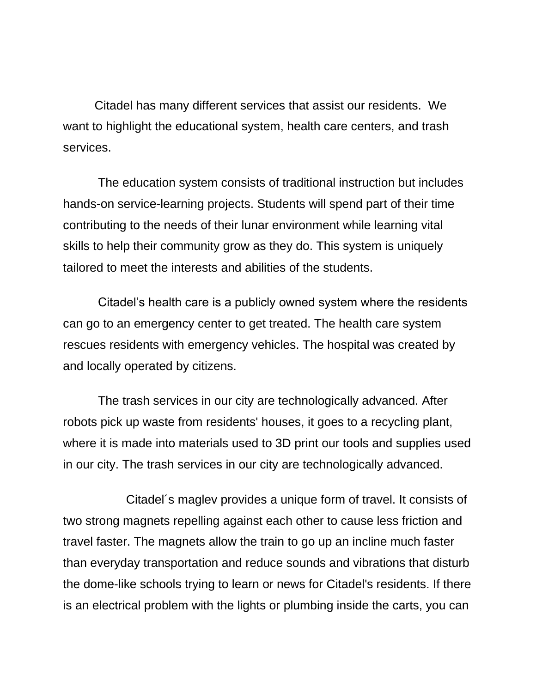Citadel has many different services that assist our residents. We want to highlight the educational system, health care centers, and trash services.

The education system consists of traditional instruction but includes hands-on service-learning projects. Students will spend part of their time contributing to the needs of their lunar environment while learning vital skills to help their community grow as they do. This system is uniquely tailored to meet the interests and abilities of the students.

Citadel's health care is a publicly owned system where the residents can go to an emergency center to get treated. The health care system rescues residents with emergency vehicles. The hospital was created by and locally operated by citizens.

The trash services in our city are technologically advanced. After robots pick up waste from residents' houses, it goes to a recycling plant, where it is made into materials used to 3D print our tools and supplies used in our city. The trash services in our city are technologically advanced.

Citadel´s maglev provides a unique form of travel. It consists of two strong magnets repelling against each other to cause less friction and travel faster. The magnets allow the train to go up an incline much faster than everyday transportation and reduce sounds and vibrations that disturb the dome-like schools trying to learn or news for Citadel's residents. If there is an electrical problem with the lights or plumbing inside the carts, you can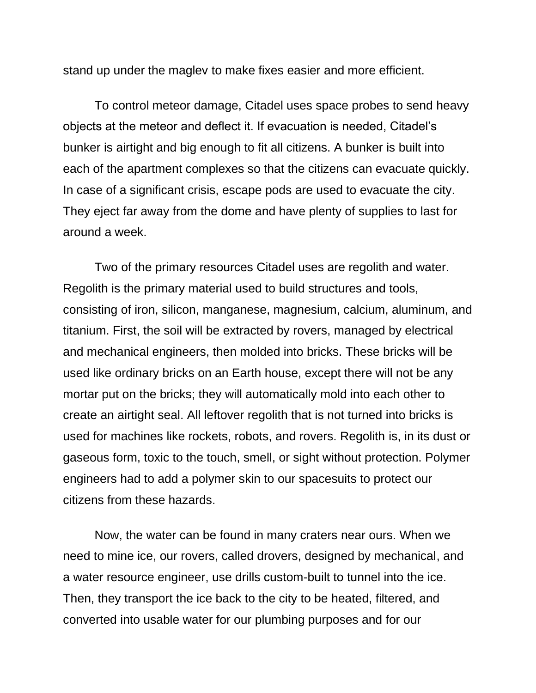stand up under the maglev to make fixes easier and more efficient.

To control meteor damage, Citadel uses space probes to send heavy objects at the meteor and deflect it. If evacuation is needed, Citadel's bunker is airtight and big enough to fit all citizens. A bunker is built into each of the apartment complexes so that the citizens can evacuate quickly. In case of a significant crisis, escape pods are used to evacuate the city. They eject far away from the dome and have plenty of supplies to last for around a week.

Two of the primary resources Citadel uses are regolith and water. Regolith is the primary material used to build structures and tools, consisting of iron, silicon, manganese, magnesium, calcium, aluminum, and titanium. First, the soil will be extracted by rovers, managed by electrical and mechanical engineers, then molded into bricks. These bricks will be used like ordinary bricks on an Earth house, except there will not be any mortar put on the bricks; they will automatically mold into each other to create an airtight seal. All leftover regolith that is not turned into bricks is used for machines like rockets, robots, and rovers. Regolith is, in its dust or gaseous form, toxic to the touch, smell, or sight without protection. Polymer engineers had to add a polymer skin to our spacesuits to protect our citizens from these hazards.

 Now, the water can be found in many craters near ours. When we need to mine ice, our rovers, called drovers, designed by mechanical, and a water resource engineer, use drills custom-built to tunnel into the ice. Then, they transport the ice back to the city to be heated, filtered, and converted into usable water for our plumbing purposes and for our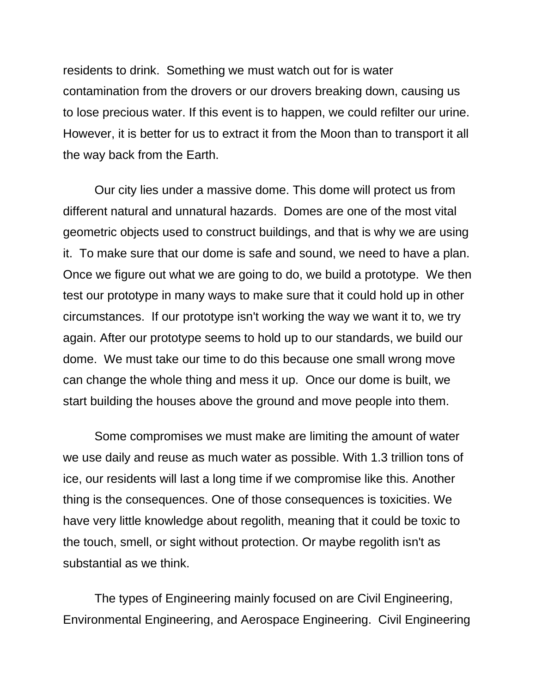residents to drink. Something we must watch out for is water contamination from the drovers or our drovers breaking down, causing us to lose precious water. If this event is to happen, we could refilter our urine. However, it is better for us to extract it from the Moon than to transport it all the way back from the Earth.

Our city lies under a massive dome. This dome will protect us from different natural and unnatural hazards. Domes are one of the most vital geometric objects used to construct buildings, and that is why we are using it. To make sure that our dome is safe and sound, we need to have a plan. Once we figure out what we are going to do, we build a prototype. We then test our prototype in many ways to make sure that it could hold up in other circumstances. If our prototype isn't working the way we want it to, we try again. After our prototype seems to hold up to our standards, we build our dome. We must take our time to do this because one small wrong move can change the whole thing and mess it up. Once our dome is built, we start building the houses above the ground and move people into them.

Some compromises we must make are limiting the amount of water we use daily and reuse as much water as possible. With 1.3 trillion tons of ice, our residents will last a long time if we compromise like this. Another thing is the consequences. One of those consequences is toxicities. We have very little knowledge about regolith, meaning that it could be toxic to the touch, smell, or sight without protection. Or maybe regolith isn't as substantial as we think.

The types of Engineering mainly focused on are Civil Engineering, Environmental Engineering, and Aerospace Engineering. Civil Engineering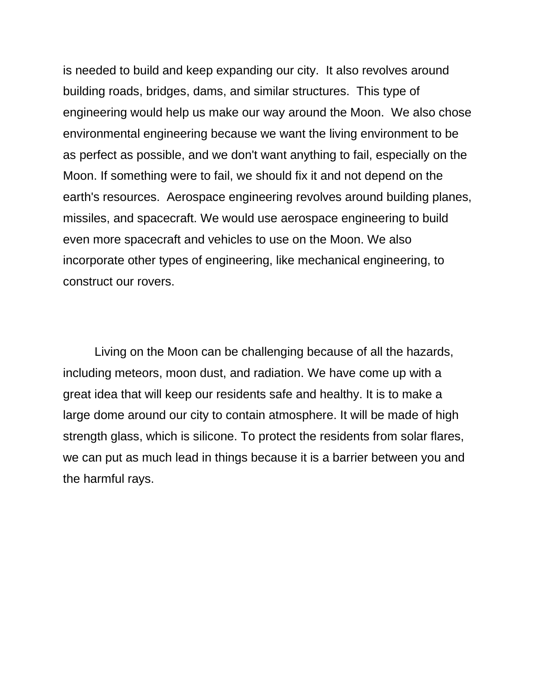is needed to build and keep expanding our city. It also revolves around building roads, bridges, dams, and similar structures. This type of engineering would help us make our way around the Moon. We also chose environmental engineering because we want the living environment to be as perfect as possible, and we don't want anything to fail, especially on the Moon. If something were to fail, we should fix it and not depend on the earth's resources. Aerospace engineering revolves around building planes, missiles, and spacecraft. We would use aerospace engineering to build even more spacecraft and vehicles to use on the Moon. We also incorporate other types of engineering, like mechanical engineering, to construct our rovers.

Living on the Moon can be challenging because of all the hazards, including meteors, moon dust, and radiation. We have come up with a great idea that will keep our residents safe and healthy. It is to make a large dome around our city to contain atmosphere. It will be made of high strength glass, which is silicone. To protect the residents from solar flares, we can put as much lead in things because it is a barrier between you and the harmful rays.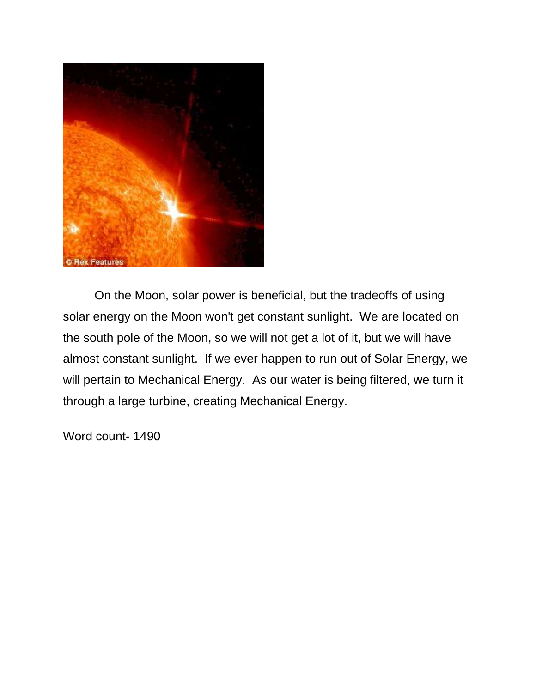

On the Moon, solar power is beneficial, but the tradeoffs of using solar energy on the Moon won't get constant sunlight. We are located on the south pole of the Moon, so we will not get a lot of it, but we will have almost constant sunlight. If we ever happen to run out of Solar Energy, we will pertain to Mechanical Energy. As our water is being filtered, we turn it through a large turbine, creating Mechanical Energy.

Word count- 1490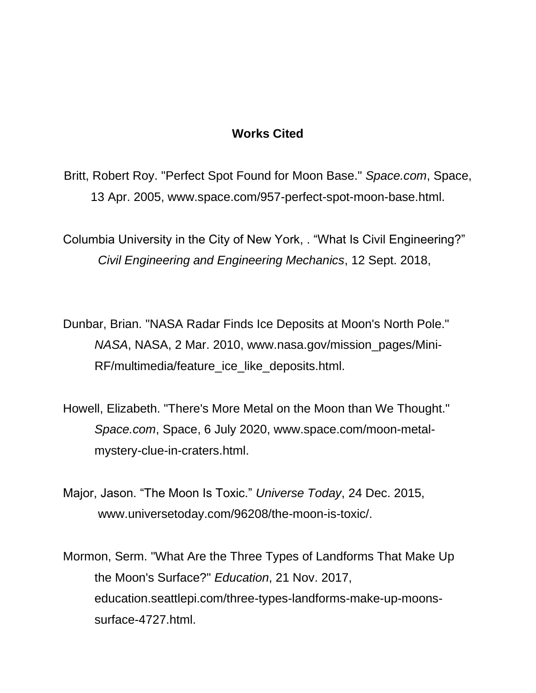### **Works Cited**

Britt, Robert Roy. "Perfect Spot Found for Moon Base." *Space.com*, Space, 13 Apr. 2005, www.space.com/957-perfect-spot-moon-base.html.

Columbia University in the City of New York, . "What Is Civil Engineering?" *Civil Engineering and Engineering Mechanics*, 12 Sept. 2018,

Dunbar, Brian. "NASA Radar Finds Ice Deposits at Moon's North Pole." *NASA*, NASA, 2 Mar. 2010, www.nasa.gov/mission\_pages/Mini-RF/multimedia/feature\_ice\_like\_deposits.html.

Howell, Elizabeth. "There's More Metal on the Moon than We Thought." *Space.com*, Space, 6 July 2020, www.space.com/moon-metalmystery-clue-in-craters.html.

Major, Jason. "The Moon Is Toxic." *Universe Today*, 24 Dec. 2015, www.universetoday.com/96208/the-moon-is-toxic/.

Mormon, Serm. "What Are the Three Types of Landforms That Make Up the Moon's Surface?" *Education*, 21 Nov. 2017, education.seattlepi.com/three-types-landforms-make-up-moonssurface-4727.html.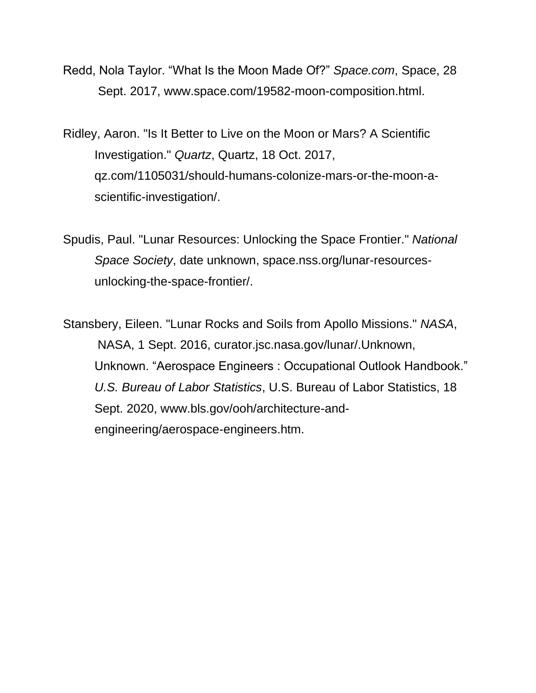- Redd, Nola Taylor. "What Is the Moon Made Of?" *Space.com*, Space, 28 Sept. 2017, www.space.com/19582-moon-composition.html.
- Ridley, Aaron. "Is It Better to Live on the Moon or Mars? A Scientific Investigation." *Quartz*, Quartz, 18 Oct. 2017, qz.com/1105031/should-humans-colonize-mars-or-the-moon-ascientific-investigation/.
- Spudis, Paul. "Lunar Resources: Unlocking the Space Frontier." *National Space Society*, date unknown, space.nss.org/lunar-resourcesunlocking-the-space-frontier/.
- Stansbery, Eileen. "Lunar Rocks and Soils from Apollo Missions." *NASA*, NASA, 1 Sept. 2016, curator.jsc.nasa.gov/lunar/.Unknown, Unknown. "Aerospace Engineers : Occupational Outlook Handbook." *U.S. Bureau of Labor Statistics*, U.S. Bureau of Labor Statistics, 18 Sept. 2020, www.bls.gov/ooh/architecture-andengineering/aerospace-engineers.htm.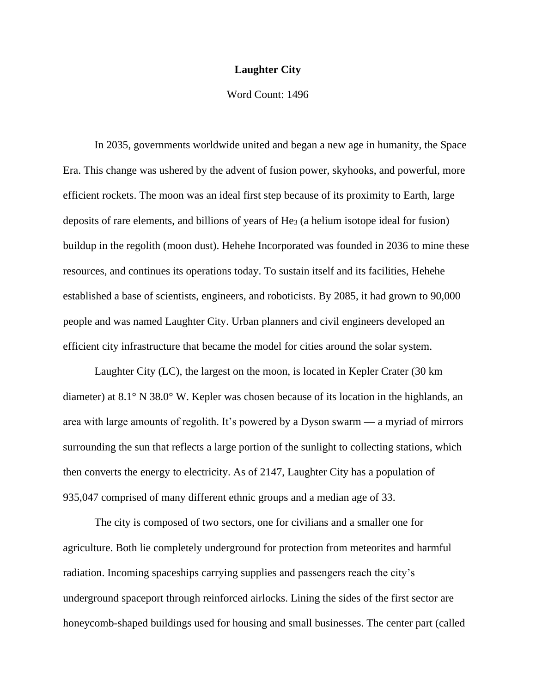### **Laughter City**

### Word Count: 1496

In 2035, governments worldwide united and began a new age in humanity, the Space Era. This change was ushered by the advent of fusion power, skyhooks, and powerful, more efficient rockets. The moon was an ideal first step because of its proximity to Earth, large deposits of rare elements, and billions of years of He<sup>3</sup> (a helium isotope ideal for fusion) buildup in the regolith (moon dust). Hehehe Incorporated was founded in 2036 to mine these resources, and continues its operations today. To sustain itself and its facilities, Hehehe established a base of scientists, engineers, and roboticists. By 2085, it had grown to 90,000 people and was named Laughter City. Urban planners and civil engineers developed an efficient city infrastructure that became the model for cities around the solar system.

Laughter City (LC), the largest on the moon, is located in Kepler Crater (30 km diameter) at 8.1° N 38.0° W. Kepler was chosen because of its location in the highlands, an area with large amounts of regolith. It's powered by a Dyson swarm — a myriad of mirrors surrounding the sun that reflects a large portion of the sunlight to collecting stations, which then converts the energy to electricity. As of 2147, Laughter City has a population of 935,047 comprised of many different ethnic groups and a median age of 33.

The city is composed of two sectors, one for civilians and a smaller one for agriculture. Both lie completely underground for protection from meteorites and harmful radiation. Incoming spaceships carrying supplies and passengers reach the city's underground spaceport through reinforced airlocks. Lining the sides of the first sector are honeycomb-shaped buildings used for housing and small businesses. The center part (called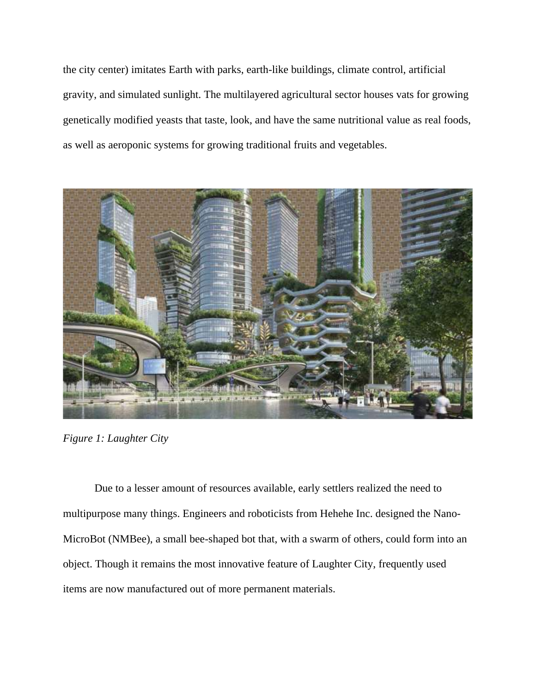the city center) imitates Earth with parks, earth-like buildings, climate control, artificial gravity, and simulated sunlight. The multilayered agricultural sector houses vats for growing genetically modified yeasts that taste, look, and have the same nutritional value as real foods, as well as aeroponic systems for growing traditional fruits and vegetables.



*Figure 1: Laughter City*

Due to a lesser amount of resources available, early settlers realized the need to multipurpose many things. Engineers and roboticists from Hehehe Inc. designed the Nano-MicroBot (NMBee), a small bee-shaped bot that, with a swarm of others, could form into an object. Though it remains the most innovative feature of Laughter City, frequently used items are now manufactured out of more permanent materials.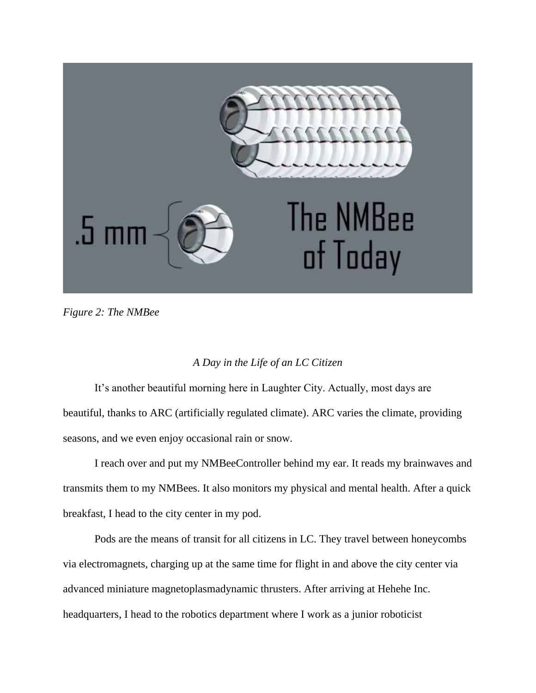

*Figure 2: The NMBee*

### *A Day in the Life of an LC Citizen*

It's another beautiful morning here in Laughter City. Actually, most days are beautiful, thanks to ARC (artificially regulated climate). ARC varies the climate, providing seasons, and we even enjoy occasional rain or snow.

I reach over and put my NMBeeController behind my ear. It reads my brainwaves and transmits them to my NMBees. It also monitors my physical and mental health. After a quick breakfast, I head to the city center in my pod.

Pods are the means of transit for all citizens in LC. They travel between honeycombs via electromagnets, charging up at the same time for flight in and above the city center via advanced miniature magnetoplasmadynamic thrusters. After arriving at Hehehe Inc. headquarters, I head to the robotics department where I work as a junior roboticist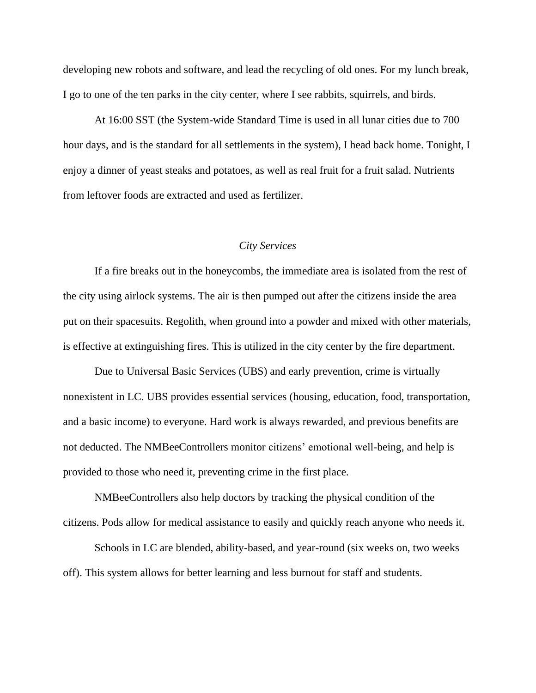developing new robots and software, and lead the recycling of old ones. For my lunch break, I go to one of the ten parks in the city center, where I see rabbits, squirrels, and birds.

At 16:00 SST (the System-wide Standard Time is used in all lunar cities due to 700 hour days, and is the standard for all settlements in the system), I head back home. Tonight, I enjoy a dinner of yeast steaks and potatoes, as well as real fruit for a fruit salad. Nutrients from leftover foods are extracted and used as fertilizer.

### *City Services*

If a fire breaks out in the honeycombs, the immediate area is isolated from the rest of the city using airlock systems. The air is then pumped out after the citizens inside the area put on their spacesuits. Regolith, when ground into a powder and mixed with other materials, is effective at extinguishing fires. This is utilized in the city center by the fire department.

Due to Universal Basic Services (UBS) and early prevention, crime is virtually nonexistent in LC. UBS provides essential services (housing, education, food, transportation, and a basic income) to everyone. Hard work is always rewarded, and previous benefits are not deducted. The NMBeeControllers monitor citizens' emotional well-being, and help is provided to those who need it, preventing crime in the first place.

NMBeeControllers also help doctors by tracking the physical condition of the citizens. Pods allow for medical assistance to easily and quickly reach anyone who needs it.

Schools in LC are blended, ability-based, and year-round (six weeks on, two weeks off). This system allows for better learning and less burnout for staff and students.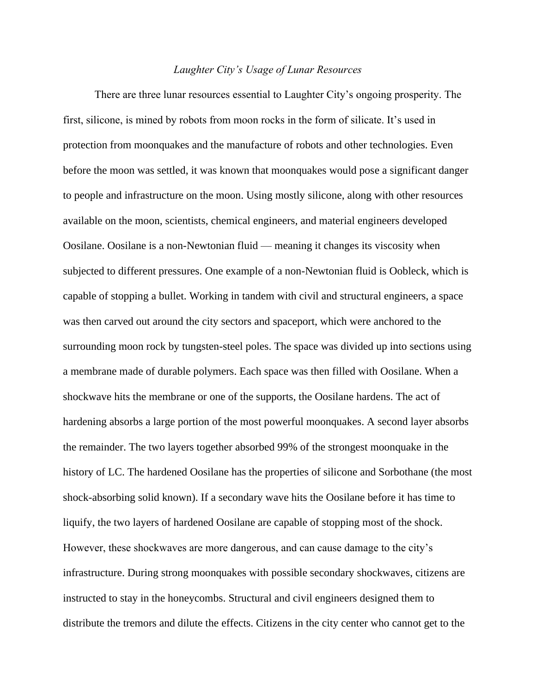### *Laughter City's Usage of Lunar Resources*

There are three lunar resources essential to Laughter City's ongoing prosperity. The first, silicone, is mined by robots from moon rocks in the form of silicate. It's used in protection from moonquakes and the manufacture of robots and other technologies. Even before the moon was settled, it was known that moonquakes would pose a significant danger to people and infrastructure on the moon. Using mostly silicone, along with other resources available on the moon, scientists, chemical engineers, and material engineers developed Oosilane. Oosilane is a non-Newtonian fluid — meaning it changes its viscosity when subjected to different pressures. One example of a non-Newtonian fluid is Oobleck, which is capable of stopping a bullet. Working in tandem with civil and structural engineers, a space was then carved out around the city sectors and spaceport, which were anchored to the surrounding moon rock by tungsten-steel poles. The space was divided up into sections using a membrane made of durable polymers. Each space was then filled with Oosilane. When a shockwave hits the membrane or one of the supports, the Oosilane hardens. The act of hardening absorbs a large portion of the most powerful moonquakes. A second layer absorbs the remainder. The two layers together absorbed 99% of the strongest moonquake in the history of LC. The hardened Oosilane has the properties of silicone and Sorbothane (the most shock-absorbing solid known). If a secondary wave hits the Oosilane before it has time to liquify, the two layers of hardened Oosilane are capable of stopping most of the shock. However, these shockwaves are more dangerous, and can cause damage to the city's infrastructure. During strong moonquakes with possible secondary shockwaves, citizens are instructed to stay in the honeycombs. Structural and civil engineers designed them to distribute the tremors and dilute the effects. Citizens in the city center who cannot get to the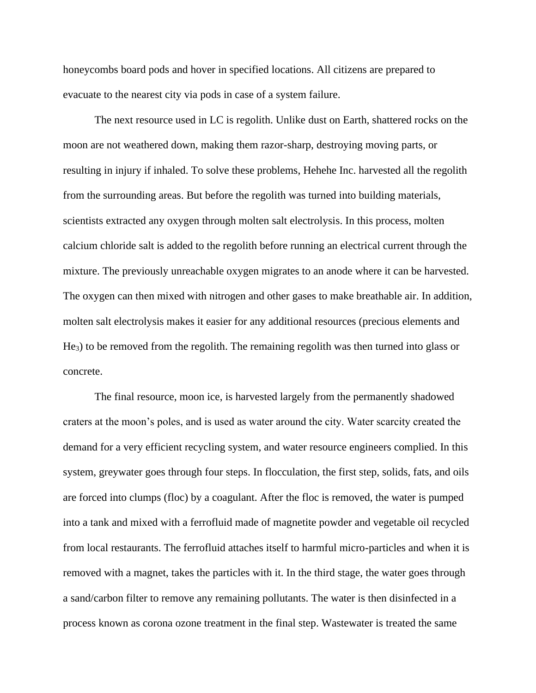honeycombs board pods and hover in specified locations. All citizens are prepared to evacuate to the nearest city via pods in case of a system failure.

The next resource used in LC is regolith. Unlike dust on Earth, shattered rocks on the moon are not weathered down, making them razor-sharp, destroying moving parts, or resulting in injury if inhaled. To solve these problems, Hehehe Inc. harvested all the regolith from the surrounding areas. But before the regolith was turned into building materials, scientists extracted any oxygen through molten salt electrolysis. In this process, molten calcium chloride salt is added to the regolith before running an electrical current through the mixture. The previously unreachable oxygen migrates to an anode where it can be harvested. The oxygen can then mixed with nitrogen and other gases to make breathable air. In addition, molten salt electrolysis makes it easier for any additional resources (precious elements and He3) to be removed from the regolith. The remaining regolith was then turned into glass or concrete.

The final resource, moon ice, is harvested largely from the permanently shadowed craters at the moon's poles, and is used as water around the city. Water scarcity created the demand for a very efficient recycling system, and water resource engineers complied. In this system, greywater goes through four steps. In flocculation, the first step, solids, fats, and oils are forced into clumps (floc) by a coagulant. After the floc is removed, the water is pumped into a tank and mixed with a ferrofluid made of magnetite powder and vegetable oil recycled from local restaurants. The ferrofluid attaches itself to harmful micro-particles and when it is removed with a magnet, takes the particles with it. In the third stage, the water goes through a sand/carbon filter to remove any remaining pollutants. The water is then disinfected in a process known as corona ozone treatment in the final step. Wastewater is treated the same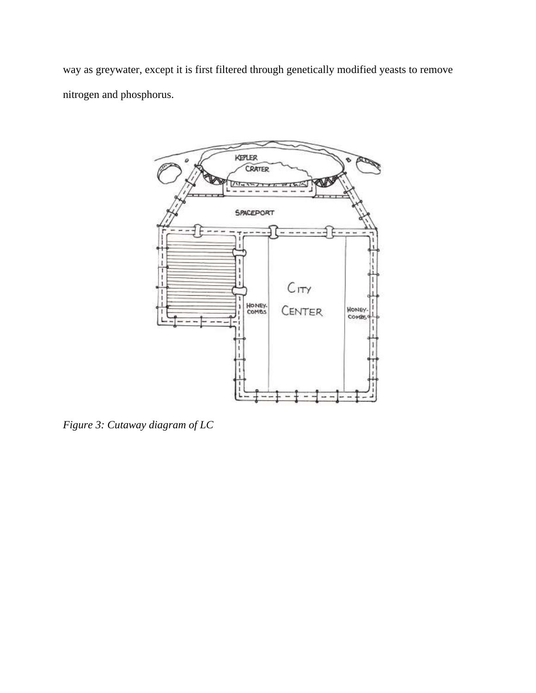way as greywater, except it is first filtered through genetically modified yeasts to remove nitrogen and phosphorus.



*Figure 3: Cutaway diagram of LC*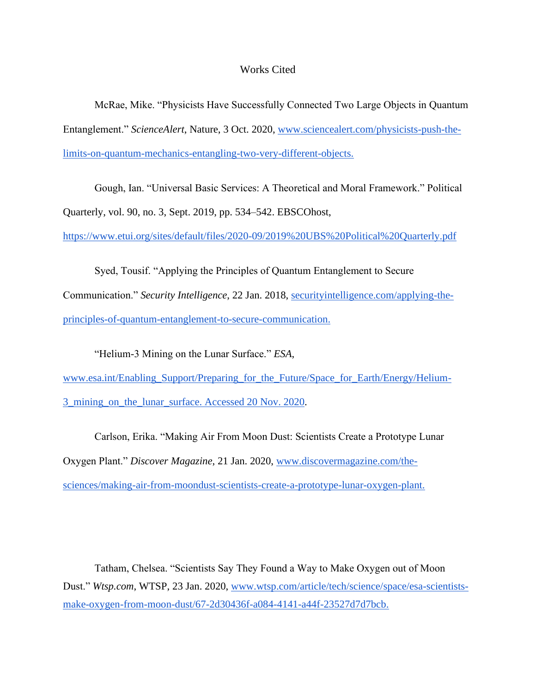### Works Cited

McRae, Mike. "Physicists Have Successfully Connected Two Large Objects in Quantum Entanglement." *ScienceAlert*, Nature, 3 Oct. 2020, [www.sciencealert.com/physicists-push-the](http://www.sciencealert.com/physicists-push-the-limits-on-quantum-mechanics-entangling-two-very-different-objects.)[limits-on-quantum-mechanics-entangling-two-very-different-objects.](http://www.sciencealert.com/physicists-push-the-limits-on-quantum-mechanics-entangling-two-very-different-objects.)

Gough, Ian. "Universal Basic Services: A Theoretical and Moral Framework." Political Quarterly, vol. 90, no. 3, Sept. 2019, pp. 534–542. EBSCOhost,

<https://www.etui.org/sites/default/files/2020-09/2019%20UBS%20Political%20Quarterly.pdf>

Syed, Tousif. "Applying the Principles of Quantum Entanglement to Secure Communication." *Security Intelligence*, 22 Jan. 2018, [securityintelligence.com/applying-the](http://securityintelligence.com/applying-the-principles-of-quantum-entanglement-to-secure-communication.)[principles-of-quantum-entanglement-to-secure-communication.](http://securityintelligence.com/applying-the-principles-of-quantum-entanglement-to-secure-communication.)

"Helium-3 Mining on the Lunar Surface." *ESA*, [www.esa.int/Enabling\\_Support/Preparing\\_for\\_the\\_Future/Space\\_for\\_Earth/Energy/Helium-](http://www.esa.int/Enabling_Support/Preparing_for_the_Future/Space_for_Earth/Energy/Helium-3_mining_on_the_lunar_surface.%20Accessed%2020%20Nov.%202020)[3\\_mining\\_on\\_the\\_lunar\\_surface. Accessed 20 Nov. 2020.](http://www.esa.int/Enabling_Support/Preparing_for_the_Future/Space_for_Earth/Energy/Helium-3_mining_on_the_lunar_surface.%20Accessed%2020%20Nov.%202020)

Carlson, Erika. "Making Air From Moon Dust: Scientists Create a Prototype Lunar Oxygen Plant." *Discover Magazine*, 21 Jan. 2020, [www.discovermagazine.com/the](http://www.discovermagazine.com/the-sciences/making-air-from-moondust-scientists-create-a-prototype-lunar-oxygen-plant)[sciences/making-air-from-moondust-scientists-create-a-prototype-lunar-oxygen-plant.](http://www.discovermagazine.com/the-sciences/making-air-from-moondust-scientists-create-a-prototype-lunar-oxygen-plant)

Tatham, Chelsea. "Scientists Say They Found a Way to Make Oxygen out of Moon Dust." *Wtsp.com*, WTSP, 23 Jan. 2020, [www.wtsp.com/article/tech/science/space/esa-scientists](http://www.wtsp.com/article/tech/science/space/esa-scientists-make-oxygen-from-moon-dust/67-2d30436f-a084-4141-a44f-23527d7d7bcb.)[make-oxygen-from-moon-dust/67-2d30436f-a084-4141-a44f-23527d7d7bcb.](http://www.wtsp.com/article/tech/science/space/esa-scientists-make-oxygen-from-moon-dust/67-2d30436f-a084-4141-a44f-23527d7d7bcb.)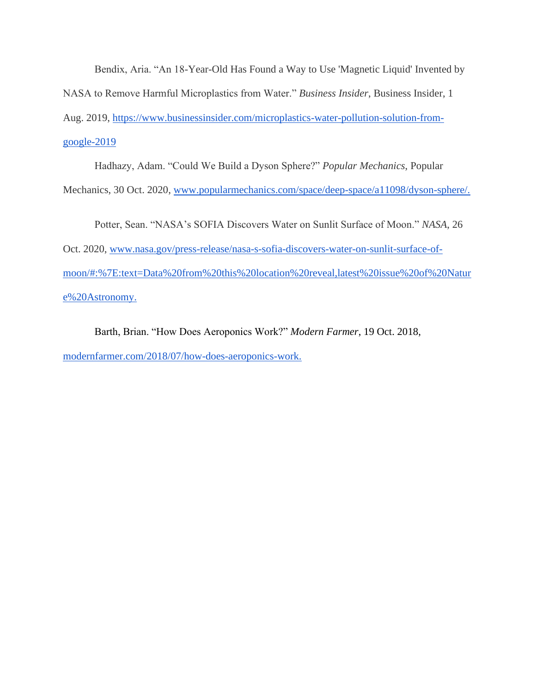Bendix, Aria. "An 18-Year-Old Has Found a Way to Use 'Magnetic Liquid' Invented by NASA to Remove Harmful Microplastics from Water." *Business Insider*, Business Insider, 1 Aug. 2019, [https://www.businessinsider.com/microplastics-water-pollution-solution-from](https://www.businessinsider.com/microplastics-water-pollution-solution-from-google-2019-8)[google-2019](https://www.businessinsider.com/microplastics-water-pollution-solution-from-google-2019-8)

Hadhazy, Adam. "Could We Build a Dyson Sphere?" *Popular Mechanics*, Popular Mechanics, 30 Oct. 2020, [www.popularmechanics.com/space/deep-space/a11098/dyson-sphere/.](http://www.popularmechanics.com/space/deep-space/a11098/dyson-sphere)

Potter, Sean. "NASA's SOFIA Discovers Water on Sunlit Surface of Moon." *NASA*, 26 Oct. 2020, [www.nasa.gov/press-release/nasa-s-sofia-discovers-water-on-sunlit-surface-of](http://www.nasa.gov/press-release/nasa-s-sofia-discovers-water-on-sunlit-surface-of-moon/#:%7E:text=Data%20from%20this%20location%20reveal,latest%20issue%20of%20Nature%20Astronomy.)[moon/#:%7E:text=Data%20from%20this%20location%20reveal,latest%20issue%20of%20Natur](http://www.nasa.gov/press-release/nasa-s-sofia-discovers-water-on-sunlit-surface-of-moon/#:%7E:text=Data%20from%20this%20location%20reveal,latest%20issue%20of%20Nature%20Astronomy.) [e%20Astronomy.](http://www.nasa.gov/press-release/nasa-s-sofia-discovers-water-on-sunlit-surface-of-moon/#:%7E:text=Data%20from%20this%20location%20reveal,latest%20issue%20of%20Nature%20Astronomy.)

Barth, Brian. "How Does Aeroponics Work?" *Modern Farmer*, 19 Oct. 2018, [modernfarmer.com/2018/07/how-does-aeroponics-work.](http://modernfarmer.com/2018/07/how-does-aeroponics-work.)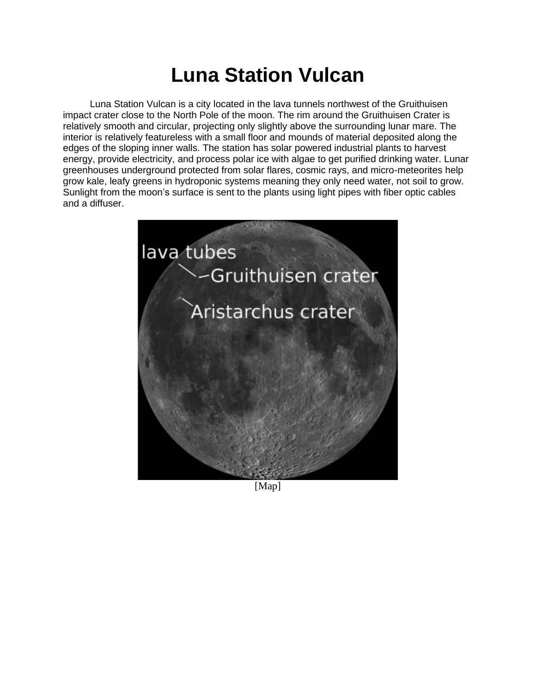# **Luna Station Vulcan**

 Luna Station Vulcan is a city located in the lava tunnels northwest of the Gruithuisen impact crater close to the North Pole of the moon. The rim around the Gruithuisen Crater is relatively smooth and circular, projecting only slightly above the surrounding lunar mare. The interior is relatively featureless with a small floor and mounds of material deposited along the edges of the sloping inner walls. The station has solar powered industrial plants to harvest energy, provide electricity, and process polar ice with algae to get purified drinking water. Lunar greenhouses underground protected from solar flares, cosmic rays, and micro-meteorites help grow kale, leafy greens in hydroponic systems meaning they only need water, not soil to grow. Sunlight from the moon's surface is sent to the plants using light pipes with fiber optic cables and a diffuser.



[Map]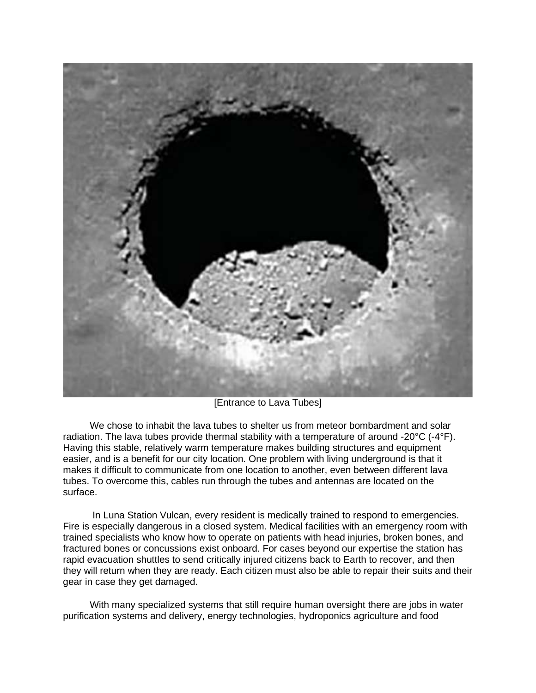

[Entrance to Lava Tubes]

 We chose to inhabit the lava tubes to shelter us from meteor bombardment and solar radiation. The lava tubes provide thermal stability with a temperature of around -20°C (-4°F). Having this stable, relatively warm temperature makes building structures and equipment easier, and is a benefit for our city location. One problem with living underground is that it makes it difficult to communicate from one location to another, even between different lava tubes. To overcome this, cables run through the tubes and antennas are located on the surface.

 In Luna Station Vulcan, every resident is medically trained to respond to emergencies. Fire is especially dangerous in a closed system. Medical facilities with an emergency room with trained specialists who know how to operate on patients with head injuries, broken bones, and fractured bones or concussions exist onboard. For cases beyond our expertise the station has rapid evacuation shuttles to send critically injured citizens back to Earth to recover, and then they will return when they are ready. Each citizen must also be able to repair their suits and their gear in case they get damaged.

 With many specialized systems that still require human oversight there are jobs in water purification systems and delivery, energy technologies, hydroponics agriculture and food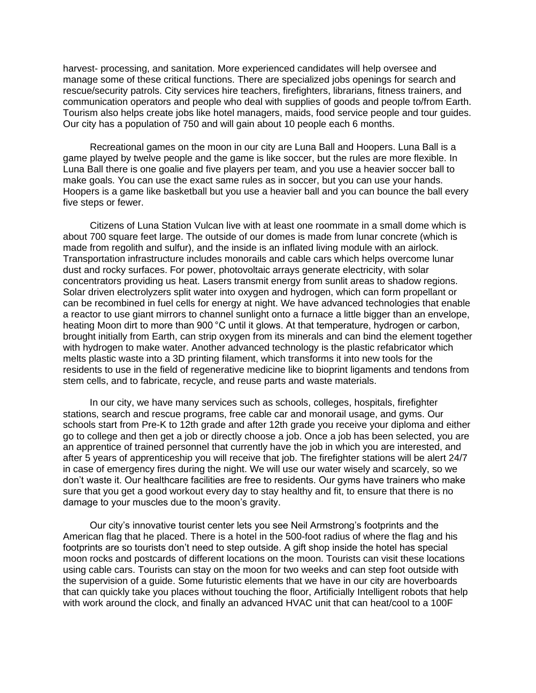harvest- processing, and sanitation. More experienced candidates will help oversee and manage some of these critical functions. There are specialized jobs openings for search and rescue/security patrols. City services hire teachers, firefighters, librarians, fitness trainers, and communication operators and people who deal with supplies of goods and people to/from Earth. Tourism also helps create jobs like hotel managers, maids, food service people and tour guides. Our city has a population of 750 and will gain about 10 people each 6 months.

 Recreational games on the moon in our city are Luna Ball and Hoopers. Luna Ball is a game played by twelve people and the game is like soccer, but the rules are more flexible. In Luna Ball there is one goalie and five players per team, and you use a heavier soccer ball to make goals. You can use the exact same rules as in soccer, but you can use your hands. Hoopers is a game like basketball but you use a heavier ball and you can bounce the ball every five steps or fewer.

 Citizens of Luna Station Vulcan live with at least one roommate in a small dome which is about 700 square feet large. The outside of our domes is made from lunar concrete (which is made from regolith and sulfur), and the inside is an inflated living module with an airlock. Transportation infrastructure includes monorails and cable cars which helps overcome lunar dust and rocky surfaces. For power, photovoltaic arrays generate electricity, with solar concentrators providing us heat. Lasers transmit energy from sunlit areas to shadow regions. Solar driven electrolyzers split water into oxygen and hydrogen, which can form propellant or can be recombined in fuel cells for energy at night. We have advanced technologies that enable a reactor to use giant mirrors to channel sunlight onto a furnace a little bigger than an envelope, heating Moon dirt to more than 900 °C until it glows. At that temperature, hydrogen or carbon, brought initially from Earth, can strip oxygen from its minerals and can bind the element together with hydrogen to make water. Another advanced technology is the plastic refabricator which melts plastic waste into a 3D printing filament, which transforms it into new tools for the residents to use in the field of regenerative medicine like to bioprint ligaments and tendons from stem cells, and to fabricate, recycle, and reuse parts and waste materials.

 In our city, we have many services such as schools, colleges, hospitals, firefighter stations, search and rescue programs, free cable car and monorail usage, and gyms. Our schools start from Pre-K to 12th grade and after 12th grade you receive your diploma and either go to college and then get a job or directly choose a job. Once a job has been selected, you are an apprentice of trained personnel that currently have the job in which you are interested, and after 5 years of apprenticeship you will receive that job. The firefighter stations will be alert 24/7 in case of emergency fires during the night. We will use our water wisely and scarcely, so we don't waste it. Our healthcare facilities are free to residents. Our gyms have trainers who make sure that you get a good workout every day to stay healthy and fit, to ensure that there is no damage to your muscles due to the moon's gravity.

 Our city's innovative tourist center lets you see Neil Armstrong's footprints and the American flag that he placed. There is a hotel in the 500-foot radius of where the flag and his footprints are so tourists don't need to step outside. A gift shop inside the hotel has special moon rocks and postcards of different locations on the moon. Tourists can visit these locations using cable cars. Tourists can stay on the moon for two weeks and can step foot outside with the supervision of a guide. Some futuristic elements that we have in our city are hoverboards that can quickly take you places without touching the floor, Artificially Intelligent robots that help with work around the clock, and finally an advanced HVAC unit that can heat/cool to a 100F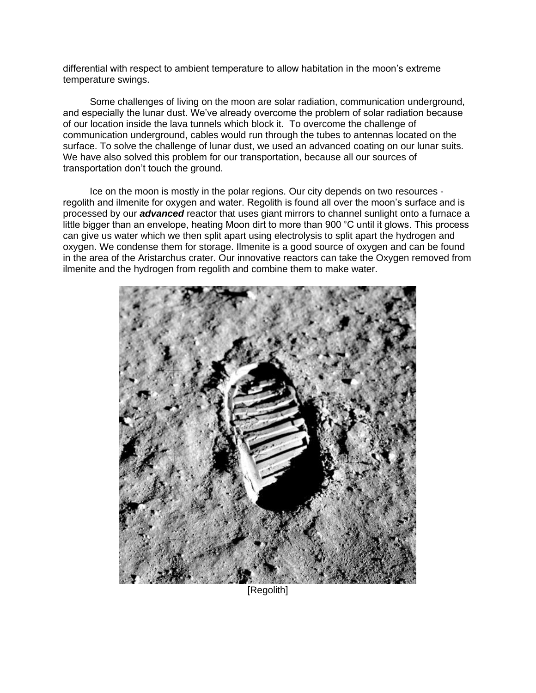differential with respect to ambient temperature to allow habitation in the moon's extreme temperature swings.

 Some challenges of living on the moon are solar radiation, communication underground, and especially the lunar dust. We've already overcome the problem of solar radiation because of our location inside the lava tunnels which block it. To overcome the challenge of communication underground, cables would run through the tubes to antennas located on the surface. To solve the challenge of lunar dust, we used an advanced coating on our lunar suits. We have also solved this problem for our transportation, because all our sources of transportation don't touch the ground.

 Ice on the moon is mostly in the polar regions. Our city depends on two resources regolith and ilmenite for oxygen and water. Regolith is found all over the moon's surface and is processed by our *advanced* reactor that uses giant mirrors to channel sunlight onto a furnace a little bigger than an envelope, heating Moon dirt to more than 900 °C until it glows. This process can give us water which we then split apart using electrolysis to split apart the hydrogen and oxygen. We condense them for storage. Ilmenite is a good source of oxygen and can be found in the area of the Aristarchus crater. Our innovative reactors can take the Oxygen removed from ilmenite and the hydrogen from regolith and combine them to make water.



[Regolith]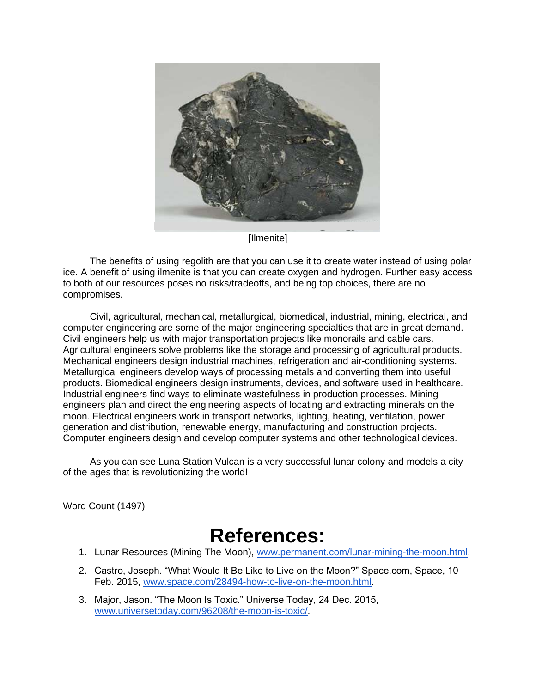

[Ilmenite]

 The benefits of using regolith are that you can use it to create water instead of using polar ice. A benefit of using ilmenite is that you can create oxygen and hydrogen. Further easy access to both of our resources poses no risks/tradeoffs, and being top choices, there are no compromises.

Civil, agricultural, mechanical, metallurgical, biomedical, industrial, mining, electrical, and computer engineering are some of the major engineering specialties that are in great demand. Civil engineers help us with major transportation projects like monorails and cable cars. Agricultural engineers solve problems like the storage and processing of agricultural products. Mechanical engineers design industrial machines, refrigeration and air-conditioning systems. Metallurgical engineers develop ways of processing metals and converting them into useful products. Biomedical engineers design instruments, devices, and software used in healthcare. Industrial engineers find ways to eliminate wastefulness in production processes. Mining engineers plan and direct the engineering aspects of locating and extracting minerals on the moon. Electrical engineers work in transport networks, lighting, heating, ventilation, power generation and distribution, renewable energy, manufacturing and construction projects. Computer engineers design and develop computer systems and other technological devices.

 As you can see Luna Station Vulcan is a very successful lunar colony and models a city of the ages that is revolutionizing the world!

Word Count (1497)

## **References:**

- 1. Lunar Resources (Mining The Moon), [www.permanent.com/lunar-mining-the-moon.html.](http://www.permanent.com/lunar-mining-the-moon.html)
- 2. Castro, Joseph. "What Would It Be Like to Live on the Moon?" Space.com, Space, 10 Feb. 2015, [www.space.com/28494-how-to-live-on-the-moon.html.](http://www.space.com/28494-how-to-live-on-the-moon.html)
- 3. Major, Jason. "The Moon Is Toxic." Universe Today, 24 Dec. 2015, [www.universetoday.com/96208/the-moon-is-toxic/.](http://www.universetoday.com/96208/the-moon-is-toxic/)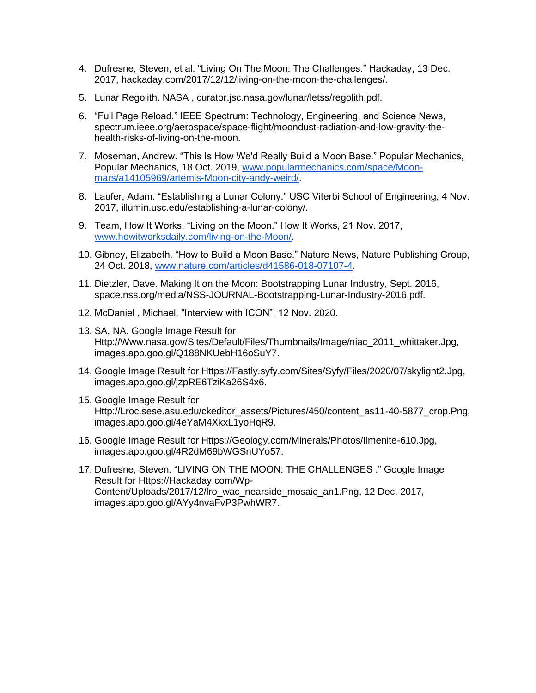- 4. Dufresne, Steven, et al. "Living On The Moon: The Challenges." Hackaday, 13 Dec. 2017, hackaday.com/2017/12/12/living-on-the-moon-the-challenges/.
- 5. Lunar Regolith. NASA , curator.jsc.nasa.gov/lunar/letss/regolith.pdf.
- 6. "Full Page Reload." IEEE Spectrum: Technology, Engineering, and Science News, spectrum.ieee.org/aerospace/space-flight/moondust-radiation-and-low-gravity-thehealth-risks-of-living-on-the-moon.
- 7. Moseman, Andrew. "This Is How We'd Really Build a Moon Base." Popular Mechanics, Popular Mechanics, 18 Oct. 2019, [www.popularmechanics.com/space/Moon](http://www.popularmechanics.com/space/Moon-mars/a14105969/artemis-Moon-city-andy-weird/)[mars/a14105969/artemis-Moon-city-andy-weird/.](http://www.popularmechanics.com/space/Moon-mars/a14105969/artemis-Moon-city-andy-weird/)
- 8. Laufer, Adam. "Establishing a Lunar Colony." USC Viterbi School of Engineering, 4 Nov. 2017, illumin.usc.edu/establishing-a-lunar-colony/.
- 9. Team, How It Works. "Living on the Moon." How It Works, 21 Nov. 2017, [www.howitworksdaily.com/living-on-the-Moon/.](http://www.howitworksdaily.com/living-on-the-Moon/)
- 10. Gibney, Elizabeth. "How to Build a Moon Base." Nature News, Nature Publishing Group, 24 Oct. 2018, [www.nature.com/articles/d41586-018-07107-4.](http://www.nature.com/articles/d41586-018-07107-4)
- 11. Dietzler, Dave. Making It on the Moon: Bootstrapping Lunar Industry, Sept. 2016, space.nss.org/media/NSS-JOURNAL-Bootstrapping-Lunar-Industry-2016.pdf.
- 12. McDaniel , Michael. "Interview with ICON", 12 Nov. 2020.
- 13. SA, NA. Google Image Result for Http://Www.nasa.gov/Sites/Default/Files/Thumbnails/Image/niac\_2011\_whittaker.Jpg, images.app.goo.gl/Q188NKUebH16oSuY7.
- 14. Google Image Result for Https://Fastly.syfy.com/Sites/Syfy/Files/2020/07/skylight2.Jpg, images.app.goo.gl/jzpRE6TziKa26S4x6.
- 15. Google Image Result for Http://Lroc.sese.asu.edu/ckeditor\_assets/Pictures/450/content\_as11-40-5877\_crop.Png, images.app.goo.gl/4eYaM4XkxL1yoHqR9.
- 16. Google Image Result for Https://Geology.com/Minerals/Photos/Ilmenite-610.Jpg, images.app.goo.gl/4R2dM69bWGSnUYo57.
- 17. Dufresne, Steven. "LIVING ON THE MOON: THE CHALLENGES ." Google Image Result for Https://Hackaday.com/Wp-Content/Uploads/2017/12/lro\_wac\_nearside\_mosaic\_an1.Png, 12 Dec. 2017, images.app.goo.gl/AYy4nvaFvP3PwhWR7.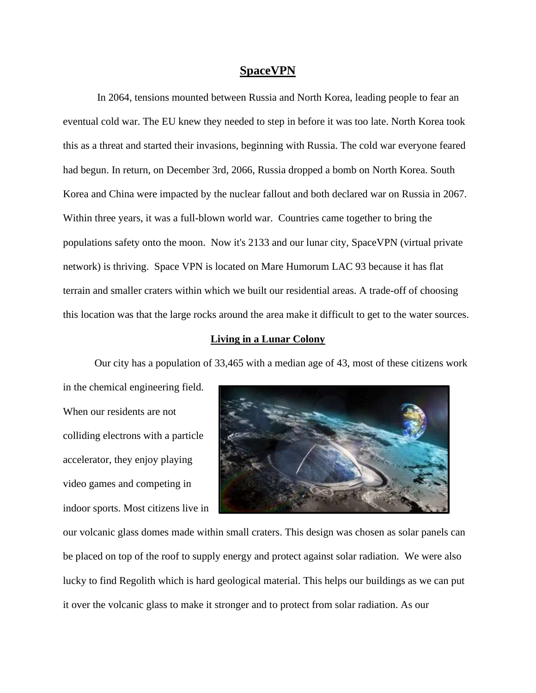### **SpaceVPN**

In 2064, tensions mounted between Russia and North Korea, leading people to fear an eventual cold war. The EU knew they needed to step in before it was too late. North Korea took this as a threat and started their invasions, beginning with Russia. The cold war everyone feared had begun. In return, on December 3rd, 2066, Russia dropped a bomb on North Korea. South Korea and China were impacted by the nuclear fallout and both declared war on Russia in 2067. Within three years, it was a full-blown world war. Countries came together to bring the populations safety onto the moon. Now it's 2133 and our lunar city, SpaceVPN (virtual private network) is thriving. Space VPN is located on Mare Humorum LAC 93 because it has flat terrain and smaller craters within which we built our residential areas. A trade-off of choosing this location was that the large rocks around the area make it difficult to get to the water sources.

### **Living in a Lunar Colony**

Our city has a population of 33,465 with a median age of 43, most of these citizens work

in the chemical engineering field. When our residents are not colliding electrons with a particle accelerator, they enjoy playing video games and competing in indoor sports. Most citizens live in



our volcanic glass domes made within small craters. This design was chosen as solar panels can be placed on top of the roof to supply energy and protect against solar radiation. We were also lucky to find Regolith which is hard geological material. This helps our buildings as we can put it over the volcanic glass to make it stronger and to protect from solar radiation. As our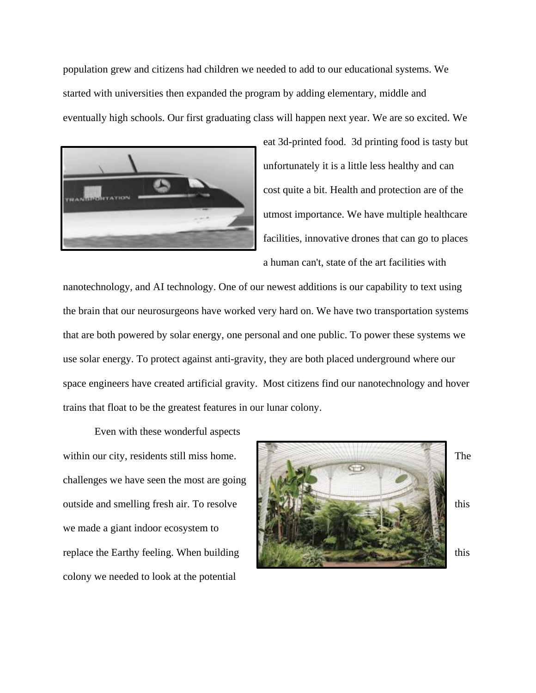population grew and citizens had children we needed to add to our educational systems. We started with universities then expanded the program by adding elementary, middle and eventually high schools. Our first graduating class will happen next year. We are so excited. We



eat 3d-printed food. 3d printing food is tasty but unfortunately it is a little less healthy and can cost quite a bit. Health and protection are of the utmost importance. We have multiple healthcare facilities, innovative drones that can go to places a human can't, state of the art facilities with

nanotechnology, and AI technology. One of our newest additions is our capability to text using the brain that our neurosurgeons have worked very hard on. We have two transportation systems that are both powered by solar energy, one personal and one public. To power these systems we use solar energy. To protect against anti-gravity, they are both placed underground where our space engineers have created artificial gravity. Most citizens find our nanotechnology and hover trains that float to be the greatest features in our lunar colony.

Even with these wonderful aspects challenges we have seen the most are going we made a giant indoor ecosystem to colony we needed to look at the potential

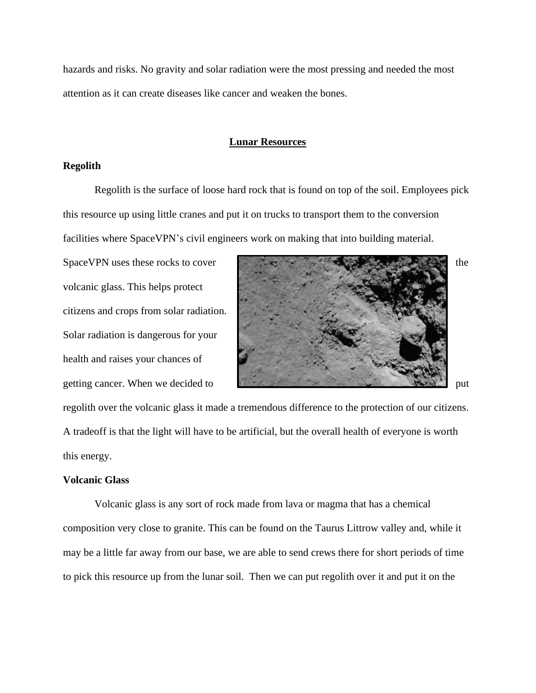hazards and risks. No gravity and solar radiation were the most pressing and needed the most attention as it can create diseases like cancer and weaken the bones.

### **Lunar Resources**

### **Regolith**

Regolith is the surface of loose hard rock that is found on top of the soil. Employees pick this resource up using little cranes and put it on trucks to transport them to the conversion facilities where SpaceVPN's civil engineers work on making that into building material.

volcanic glass. This helps protect citizens and crops from solar radiation. Solar radiation is dangerous for your health and raises your chances of



regolith over the volcanic glass it made a tremendous difference to the protection of our citizens. A tradeoff is that the light will have to be artificial, but the overall health of everyone is worth this energy.

### **Volcanic Glass**

Volcanic glass is any sort of rock made from lava or magma that has a chemical composition very close to granite. This can be found on the Taurus Littrow valley and, while it may be a little far away from our base, we are able to send crews there for short periods of time to pick this resource up from the lunar soil. Then we can put regolith over it and put it on the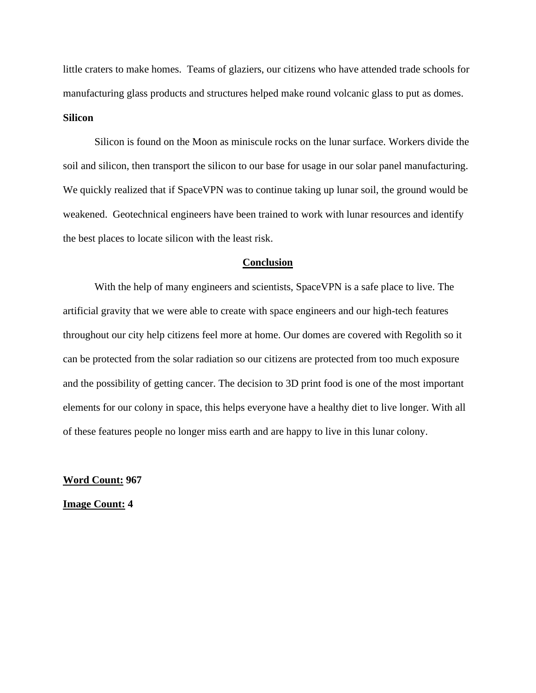little craters to make homes. Teams of glaziers, our citizens who have attended trade schools for manufacturing glass products and structures helped make round volcanic glass to put as domes. **Silicon**

Silicon is found on the Moon as miniscule rocks on the lunar surface. Workers divide the soil and silicon, then transport the silicon to our base for usage in our solar panel manufacturing. We quickly realized that if SpaceVPN was to continue taking up lunar soil, the ground would be weakened. Geotechnical engineers have been trained to work with lunar resources and identify the best places to locate silicon with the least risk.

#### **Conclusion**

With the help of many engineers and scientists, SpaceVPN is a safe place to live. The artificial gravity that we were able to create with space engineers and our high-tech features throughout our city help citizens feel more at home. Our domes are covered with Regolith so it can be protected from the solar radiation so our citizens are protected from too much exposure and the possibility of getting cancer. The decision to 3D print food is one of the most important elements for our colony in space, this helps everyone have a healthy diet to live longer. With all of these features people no longer miss earth and are happy to live in this lunar colony.

**Word Count: 967**

**Image Count: 4**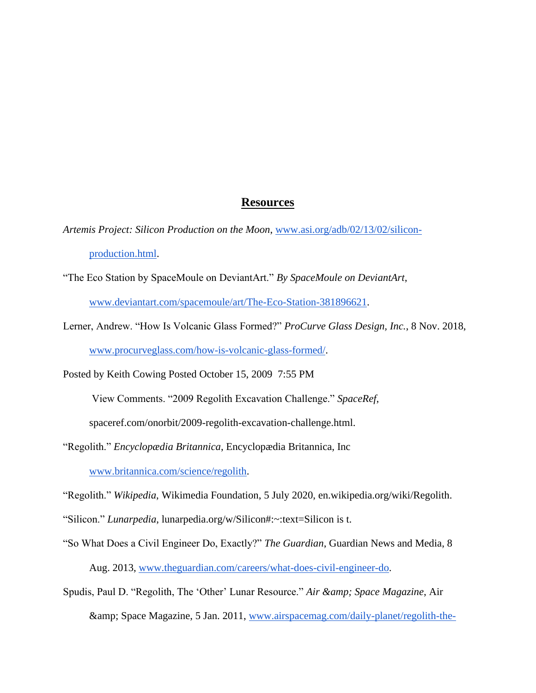### **Resources**

- *Artemis Project: Silicon Production on the Moon*, [www.asi.org/adb/02/13/02/silicon](http://www.asi.org/adb/02/13/02/silicon-production.html)[production.html.](http://www.asi.org/adb/02/13/02/silicon-production.html)
- "The Eco Station by SpaceMoule on DeviantArt." *By SpaceMoule on DeviantArt*, [www.deviantart.com/spacemoule/art/The-Eco-Station-381896621.](http://www.deviantart.com/spacemoule/art/The-Eco-Station-381896621)
- Lerner, Andrew. "How Is Volcanic Glass Formed?" *ProCurve Glass Design, Inc.*, 8 Nov. 2018, [www.procurveglass.com/how-is-volcanic-glass-formed/.](http://www.procurveglass.com/how-is-volcanic-glass-formed/)

Posted by Keith Cowing Posted October 15, 2009 7:55 PM

View Comments. "2009 Regolith Excavation Challenge." *SpaceRef*,

spaceref.com/onorbit/2009-regolith-excavation-challenge.html.

"Regolith." *Encyclopædia Britannica*, Encyclopædia Britannica, Inc [www.britannica.com/science/regolith.](http://www.britannica.com/science/regolith)

"Regolith." *Wikipedia*, Wikimedia Foundation, 5 July 2020, en.wikipedia.org/wiki/Regolith.

- "Silicon." *Lunarpedia*, lunarpedia.org/w/Silicon#:~:text=Silicon is t.
- "So What Does a Civil Engineer Do, Exactly?" *The Guardian*, Guardian News and Media, 8 Aug. 2013, [www.theguardian.com/careers/what-does-civil-engineer-do.](http://www.theguardian.com/careers/what-does-civil-engineer-do)
- Spudis, Paul D. "Regolith, The 'Other' Lunar Resource." *Air & amp*; Space Magazine, Air & amp; Space Magazine, 5 Jan. 2011, [www.airspacemag.com/daily-planet/regolith-the-](http://www.airspacemag.com/daily-planet/regolith-the-other-lunar-resource-156943194/#:~:t)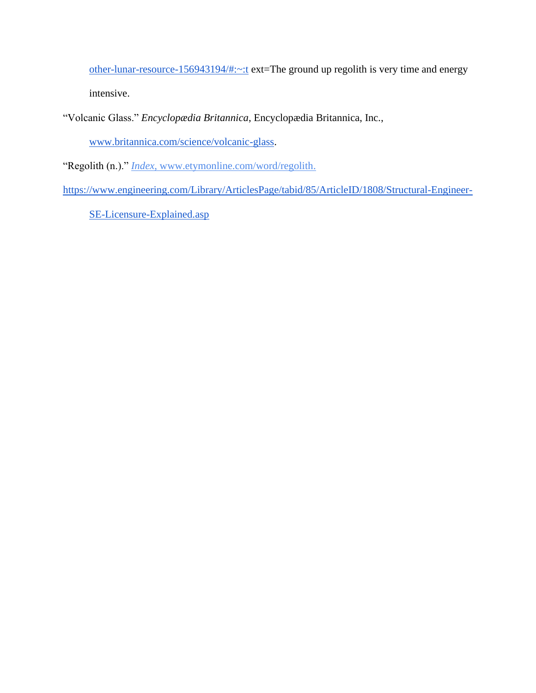[other-lunar-resource-156943194/#:~:t](http://www.airspacemag.com/daily-planet/regolith-the-other-lunar-resource-156943194/#:~:t) ext=The ground up regolith is very time and energy intensive.

"Volcanic Glass." *Encyclopædia Britannica*, Encyclopædia Britannica, Inc.,

[www.britannica.com/science/volcanic-glass.](http://www.britannica.com/science/volcanic-glass)

"Regolith (n.)." *Index*, [www.etymonline.com/word/regolith.](http://www.etymonline.com/word/regolith)

[https://www.engineering.com/Library/ArticlesPage/tabid/85/ArticleID/1808/Structural-Engineer-](https://www.engineering.com/Library/ArticlesPage/tabid/85/ArticleID/1808/Structural-Engineer-SE-Licensure-Explained.asp)

[SE-Licensure-Explained.asp](https://www.engineering.com/Library/ArticlesPage/tabid/85/ArticleID/1808/Structural-Engineer-SE-Licensure-Explained.asp)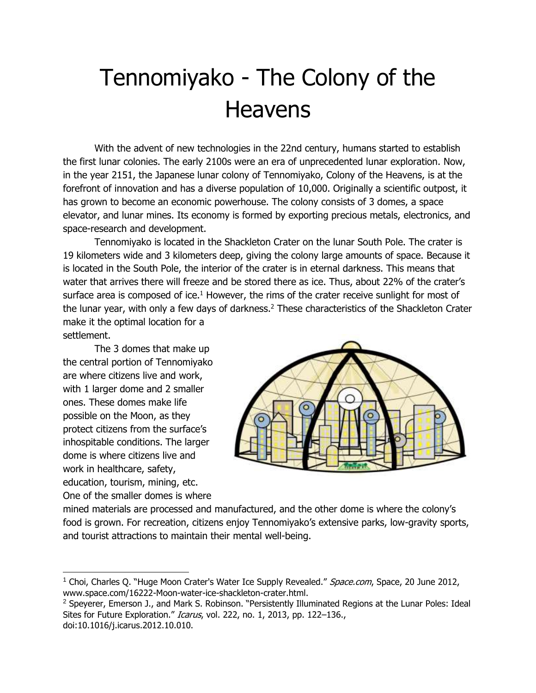# Tennomiyako - The Colony of the **Heavens**

With the advent of new technologies in the 22nd century, humans started to establish the first lunar colonies. The early 2100s were an era of unprecedented lunar exploration. Now, in the year 2151, the Japanese lunar colony of Tennomiyako, Colony of the Heavens, is at the forefront of innovation and has a diverse population of 10,000. Originally a scientific outpost, it has grown to become an economic powerhouse. The colony consists of 3 domes, a space elevator, and lunar mines. Its economy is formed by exporting precious metals, electronics, and space-research and development.

Tennomiyako is located in the Shackleton Crater on the lunar South Pole. The crater is 19 kilometers wide and 3 kilometers deep, giving the colony large amounts of space. Because it is located in the South Pole, the interior of the crater is in eternal darkness. This means that water that arrives there will freeze and be stored there as ice. Thus, about 22% of the crater's surface area is composed of ice. $1$  However, the rims of the crater receive sunlight for most of the lunar year, with only a few days of darkness.<sup>2</sup> These characteristics of the Shackleton Crater make it the optimal location for a settlement.

The 3 domes that make up the central portion of Tennomiyako are where citizens live and work, with 1 larger dome and 2 smaller ones. These domes make life possible on the Moon, as they protect citizens from the surface's inhospitable conditions. The larger dome is where citizens live and work in healthcare, safety, education, tourism, mining, etc. One of the smaller domes is where



mined materials are processed and manufactured, and the other dome is where the colony's food is grown. For recreation, citizens enjoy Tennomiyako's extensive parks, low-gravity sports, and tourist attractions to maintain their mental well-being.

<sup>&</sup>lt;sup>1</sup> Choi, Charles Q. "Huge Moon Crater's Water Ice Supply Revealed." Space.com, Space, 20 June 2012, www.space.com/16222-Moon-water-ice-shackleton-crater.html.

<sup>&</sup>lt;sup>2</sup> Speyerer, Emerson J., and Mark S. Robinson. "Persistently Illuminated Regions at the Lunar Poles: Ideal Sites for Future Exploration." Icarus, vol. 222, no. 1, 2013, pp. 122-136., doi:10.1016/j.icarus.2012.10.010.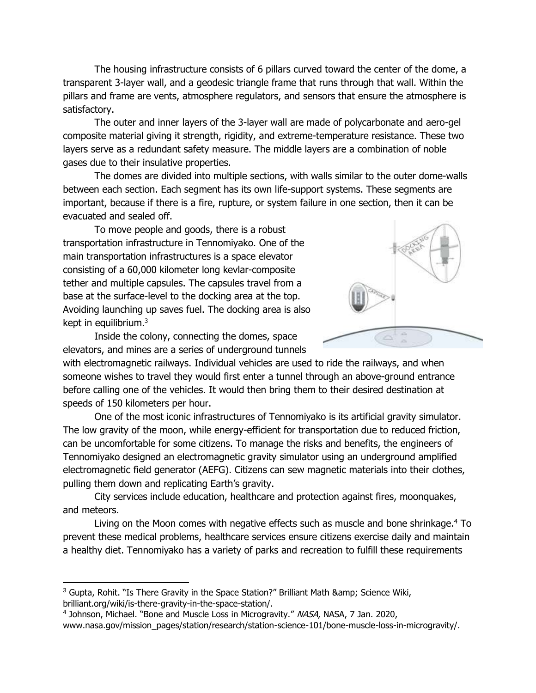The housing infrastructure consists of 6 pillars curved toward the center of the dome, a transparent 3-layer wall, and a geodesic triangle frame that runs through that wall. Within the pillars and frame are vents, atmosphere regulators, and sensors that ensure the atmosphere is satisfactory.

The outer and inner layers of the 3-layer wall are made of polycarbonate and aero-gel composite material giving it strength, rigidity, and extreme-temperature resistance. These two layers serve as a redundant safety measure. The middle layers are a combination of noble gases due to their insulative properties.

The domes are divided into multiple sections, with walls similar to the outer dome-walls between each section. Each segment has its own life-support systems. These segments are important, because if there is a fire, rupture, or system failure in one section, then it can be evacuated and sealed off.

To move people and goods, there is a robust transportation infrastructure in Tennomiyako. One of the main transportation infrastructures is a space elevator consisting of a 60,000 kilometer long kevlar-composite tether and multiple capsules. The capsules travel from a base at the surface-level to the docking area at the top. Avoiding launching up saves fuel. The docking area is also kept in equilibrium.<sup>3</sup>

Inside the colony, connecting the domes, space elevators, and mines are a series of underground tunnels



with electromagnetic railways. Individual vehicles are used to ride the railways, and when someone wishes to travel they would first enter a tunnel through an above-ground entrance before calling one of the vehicles. It would then bring them to their desired destination at speeds of 150 kilometers per hour.

One of the most iconic infrastructures of Tennomiyako is its artificial gravity simulator. The low gravity of the moon, while energy-efficient for transportation due to reduced friction, can be uncomfortable for some citizens. To manage the risks and benefits, the engineers of Tennomiyako designed an electromagnetic gravity simulator using an underground amplified electromagnetic field generator (AEFG). Citizens can sew magnetic materials into their clothes, pulling them down and replicating Earth's gravity.

City services include education, healthcare and protection against fires, moonquakes, and meteors.

Living on the Moon comes with negative effects such as muscle and bone shrinkage.<sup>4</sup> To prevent these medical problems, healthcare services ensure citizens exercise daily and maintain a healthy diet. Tennomiyako has a variety of parks and recreation to fulfill these requirements

 $3$  Gupta, Rohit. "Is There Gravity in the Space Station?" Brilliant Math & amp; Science Wiki, brilliant.org/wiki/is-there-gravity-in-the-space-station/.

<sup>&</sup>lt;sup>4</sup> Johnson, Michael. "Bone and Muscle Loss in Microgravity." NASA, NASA, 7 Jan. 2020,

www.nasa.gov/mission\_pages/station/research/station-science-101/bone-muscle-loss-in-microgravity/.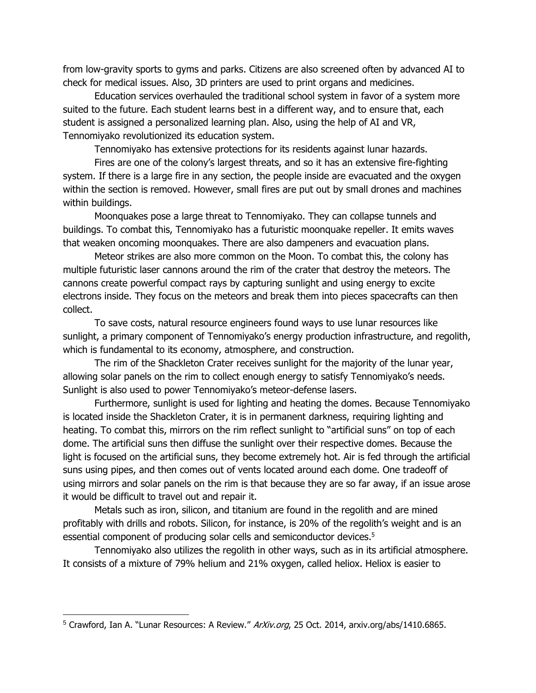from low-gravity sports to gyms and parks. Citizens are also screened often by advanced AI to check for medical issues. Also, 3D printers are used to print organs and medicines.

Education services overhauled the traditional school system in favor of a system more suited to the future. Each student learns best in a different way, and to ensure that, each student is assigned a personalized learning plan. Also, using the help of AI and VR, Tennomiyako revolutionized its education system.

Tennomiyako has extensive protections for its residents against lunar hazards.

Fires are one of the colony's largest threats, and so it has an extensive fire-fighting system. If there is a large fire in any section, the people inside are evacuated and the oxygen within the section is removed. However, small fires are put out by small drones and machines within buildings.

Moonquakes pose a large threat to Tennomiyako. They can collapse tunnels and buildings. To combat this, Tennomiyako has a futuristic moonquake repeller. It emits waves that weaken oncoming moonquakes. There are also dampeners and evacuation plans.

Meteor strikes are also more common on the Moon. To combat this, the colony has multiple futuristic laser cannons around the rim of the crater that destroy the meteors. The cannons create powerful compact rays by capturing sunlight and using energy to excite electrons inside. They focus on the meteors and break them into pieces spacecrafts can then collect.

To save costs, natural resource engineers found ways to use lunar resources like sunlight, a primary component of Tennomiyako's energy production infrastructure, and regolith, which is fundamental to its economy, atmosphere, and construction.

The rim of the Shackleton Crater receives sunlight for the majority of the lunar year, allowing solar panels on the rim to collect enough energy to satisfy Tennomiyako's needs. Sunlight is also used to power Tennomiyako's meteor-defense lasers.

Furthermore, sunlight is used for lighting and heating the domes. Because Tennomiyako is located inside the Shackleton Crater, it is in permanent darkness, requiring lighting and heating. To combat this, mirrors on the rim reflect sunlight to "artificial suns" on top of each dome. The artificial suns then diffuse the sunlight over their respective domes. Because the light is focused on the artificial suns, they become extremely hot. Air is fed through the artificial suns using pipes, and then comes out of vents located around each dome. One tradeoff of using mirrors and solar panels on the rim is that because they are so far away, if an issue arose it would be difficult to travel out and repair it.

Metals such as iron, silicon, and titanium are found in the regolith and are mined profitably with drills and robots. Silicon, for instance, is 20% of the regolith's weight and is an essential component of producing solar cells and semiconductor devices.<sup>5</sup>

Tennomiyako also utilizes the regolith in other ways, such as in its artificial atmosphere. It consists of a mixture of 79% helium and 21% oxygen, called heliox. Heliox is easier to

<sup>&</sup>lt;sup>5</sup> Crawford, Ian A. "Lunar Resources: A Review." ArXiv.org, 25 Oct. 2014, arxiv.org/abs/1410.6865.